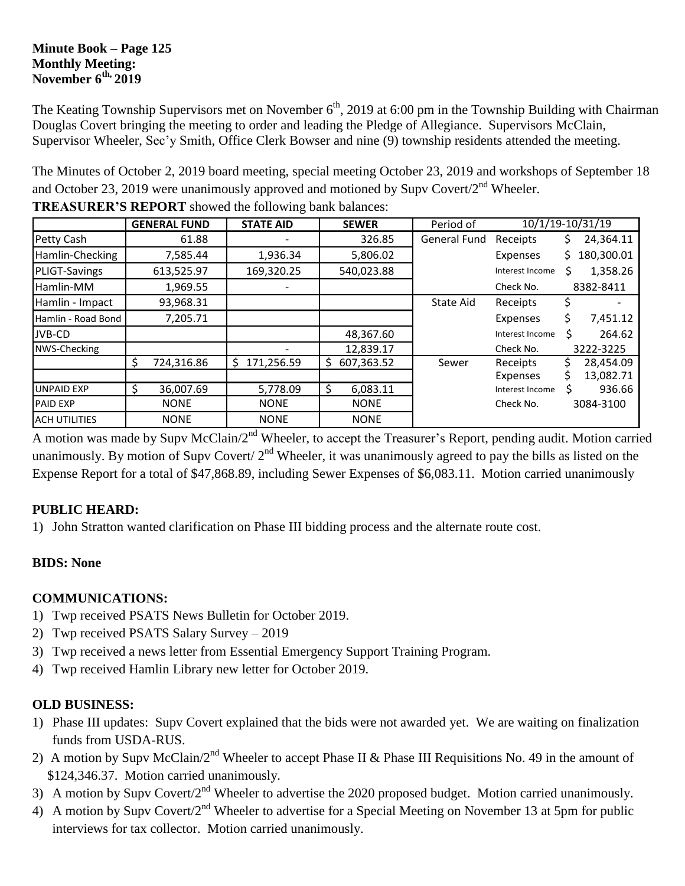#### **Minute Book – Page 125 Monthly Meeting: November 6th, 2019**

The Keating Township Supervisors met on November 6<sup>th</sup>, 2019 at 6:00 pm in the Township Building with Chairman Douglas Covert bringing the meeting to order and leading the Pledge of Allegiance. Supervisors McClain, Supervisor Wheeler, Sec'y Smith, Office Clerk Bowser and nine (9) township residents attended the meeting.

The Minutes of October 2, 2019 board meeting, special meeting October 23, 2019 and workshops of September 18 and October 23, 2019 were unanimously approved and motioned by Supv Covert/ $2<sup>nd</sup>$  Wheeler.

|                      |    | <b>GENERAL FUND</b> | <b>STATE AID</b> | <b>SEWER</b>     | Period of           | 10/1/19-10/31/19 |     |            |
|----------------------|----|---------------------|------------------|------------------|---------------------|------------------|-----|------------|
| Petty Cash           |    | 61.88               |                  | 326.85           | <b>General Fund</b> | Receipts         | S.  | 24,364.11  |
| Hamlin-Checking      |    | 7,585.44            | 1,936.34         | 5,806.02         |                     | Expenses         | S.  | 180,300.01 |
| PLIGT-Savings        |    | 613,525.97          | 169,320.25       | 540,023.88       |                     | Interest Income  |     | 1,358.26   |
| Hamlin-MM            |    | 1,969.55            |                  |                  |                     | Check No.        |     | 8382-8411  |
| Hamlin - Impact      |    | 93,968.31           |                  |                  | State Aid           | Receipts         |     |            |
| Hamlin - Road Bond   |    | 7,205.71            |                  |                  |                     | Expenses         | \$. | 7,451.12   |
| JVB-CD               |    |                     |                  | 48,367.60        |                     | Interest Income  | Ś   | 264.62     |
| NWS-Checking         |    |                     |                  | 12,839.17        |                     | Check No.        |     | 3222-3225  |
|                      | \$ | 724,316.86          | 171,256.59<br>Ŝ. | \$<br>607,363.52 | Sewer               | Receipts         |     | 28,454.09  |
|                      |    |                     |                  |                  |                     | Expenses         |     | 13,082.71  |
| <b>UNPAID EXP</b>    | Ś  | 36,007.69           | 5,778.09         | \$<br>6,083.11   |                     | Interest Income  |     | 936.66     |
| <b>PAID EXP</b>      |    | <b>NONE</b>         | <b>NONE</b>      | <b>NONE</b>      |                     | Check No.        |     | 3084-3100  |
| <b>ACH UTILITIES</b> |    | <b>NONE</b>         | <b>NONE</b>      | <b>NONE</b>      |                     |                  |     |            |

**TREASURER'S REPORT** showed the following bank balances:

A motion was made by Supv McClain/2<sup>nd</sup> Wheeler, to accept the Treasurer's Report, pending audit. Motion carried unanimously. By motion of Supv Covert/  $2<sup>nd</sup>$  Wheeler, it was unanimously agreed to pay the bills as listed on the Expense Report for a total of \$47,868.89, including Sewer Expenses of \$6,083.11. Motion carried unanimously

# **PUBLIC HEARD:**

1) John Stratton wanted clarification on Phase III bidding process and the alternate route cost.

# **BIDS: None**

### **COMMUNICATIONS:**

- 1) Twp received PSATS News Bulletin for October 2019.
- 2) Twp received PSATS Salary Survey 2019
- 3) Twp received a news letter from Essential Emergency Support Training Program.
- 4) Twp received Hamlin Library new letter for October 2019.

### **OLD BUSINESS:**

- 1) Phase III updates: Supv Covert explained that the bids were not awarded yet. We are waiting on finalization funds from USDA-RUS.
- 2) A motion by Supy McClain/ $2^{nd}$  Wheeler to accept Phase II & Phase III Requisitions No. 49 in the amount of \$124,346.37. Motion carried unanimously.
- 3) A motion by Supv Covert/2<sup>nd</sup> Wheeler to advertise the 2020 proposed budget. Motion carried unanimously.
- 4) A motion by Supv Covert/2<sup>nd</sup> Wheeler to advertise for a Special Meeting on November 13 at 5pm for public interviews for tax collector. Motion carried unanimously.